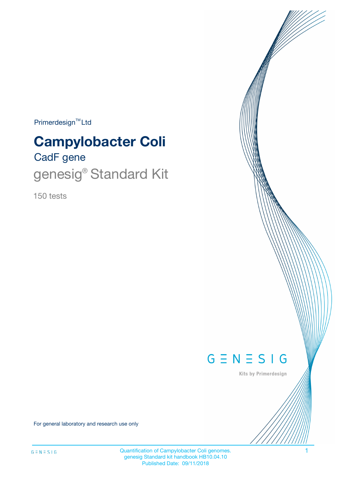Primerdesign<sup>™</sup>Ltd

# CadF gene **Campylobacter Coli**

# genesig® Standard Kit

150 tests



Kits by Primerdesign

For general laboratory and research use only

Quantification of Campylobacter Coli genomes. 1 genesig Standard kit handbook HB10.04.10 Published Date: 09/11/2018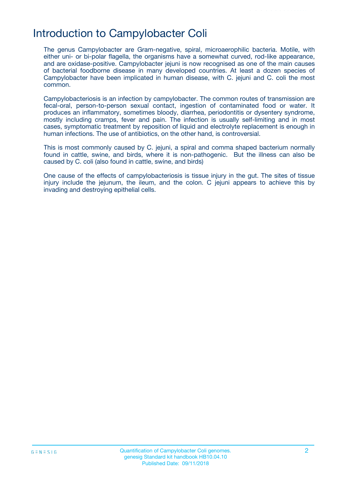## Introduction to Campylobacter Coli

The genus Campylobacter are Gram-negative, spiral, microaerophilic bacteria. Motile, with either uni- or bi-polar flagella, the organisms have a somewhat curved, rod-like appearance, and are oxidase-positive. Campylobacter jejuni is now recognised as one of the main causes of bacterial foodborne disease in many developed countries. At least a dozen species of Campylobacter have been implicated in human disease, with C. jejuni and C. coli the most common.

Campylobacteriosis is an infection by campylobacter. The common routes of transmission are fecal-oral, person-to-person sexual contact, ingestion of contaminated food or water. It produces an inflammatory, sometimes bloody, diarrhea, periodontitis or dysentery syndrome, mostly including cramps, fever and pain. The infection is usually self-limiting and in most cases, symptomatic treatment by reposition of liquid and electrolyte replacement is enough in human infections. The use of antibiotics, on the other hand, is controversial.

This is most commonly caused by C. jejuni, a spiral and comma shaped bacterium normally found in cattle, swine, and birds, where it is non-pathogenic. But the illness can also be caused by C. coli (also found in cattle, swine, and birds)

One cause of the effects of campylobacteriosis is tissue injury in the gut. The sites of tissue injury include the jejunum, the ileum, and the colon. C jejuni appears to achieve this by invading and destroying epithelial cells.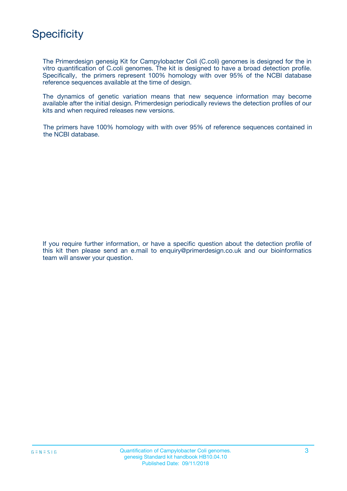

The Primerdesign genesig Kit for Campylobacter Coli (C.coli) genomes is designed for the in vitro quantification of C.coli genomes. The kit is designed to have a broad detection profile. Specifically, the primers represent 100% homology with over 95% of the NCBI database reference sequences available at the time of design.

The dynamics of genetic variation means that new sequence information may become available after the initial design. Primerdesign periodically reviews the detection profiles of our kits and when required releases new versions.

The primers have 100% homology with with over 95% of reference sequences contained in the NCBI database.

If you require further information, or have a specific question about the detection profile of this kit then please send an e.mail to enquiry@primerdesign.co.uk and our bioinformatics team will answer your question.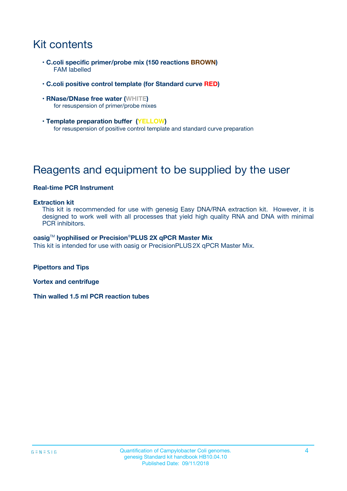# Kit contents

- **C.coli specific primer/probe mix (150 reactions BROWN)** FAM labelled
- **C.coli positive control template (for Standard curve RED)**
- **RNase/DNase free water (WHITE)** for resuspension of primer/probe mixes
- **Template preparation buffer (YELLOW)** for resuspension of positive control template and standard curve preparation

# Reagents and equipment to be supplied by the user

#### **Real-time PCR Instrument**

#### **Extraction kit**

This kit is recommended for use with genesig Easy DNA/RNA extraction kit. However, it is designed to work well with all processes that yield high quality RNA and DNA with minimal PCR inhibitors.

#### **oasig**TM **lyophilised or Precision**®**PLUS 2X qPCR Master Mix**

This kit is intended for use with oasig or PrecisionPLUS2X qPCR Master Mix.

**Pipettors and Tips**

**Vortex and centrifuge**

**Thin walled 1.5 ml PCR reaction tubes**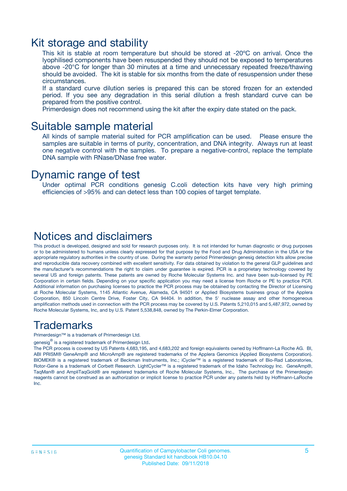### Kit storage and stability

This kit is stable at room temperature but should be stored at -20ºC on arrival. Once the lyophilised components have been resuspended they should not be exposed to temperatures above -20°C for longer than 30 minutes at a time and unnecessary repeated freeze/thawing should be avoided. The kit is stable for six months from the date of resuspension under these circumstances.

If a standard curve dilution series is prepared this can be stored frozen for an extended period. If you see any degradation in this serial dilution a fresh standard curve can be prepared from the positive control.

Primerdesign does not recommend using the kit after the expiry date stated on the pack.

### Suitable sample material

All kinds of sample material suited for PCR amplification can be used. Please ensure the samples are suitable in terms of purity, concentration, and DNA integrity. Always run at least one negative control with the samples. To prepare a negative-control, replace the template DNA sample with RNase/DNase free water.

### Dynamic range of test

Under optimal PCR conditions genesig C.coli detection kits have very high priming efficiencies of >95% and can detect less than 100 copies of target template.

### Notices and disclaimers

This product is developed, designed and sold for research purposes only. It is not intended for human diagnostic or drug purposes or to be administered to humans unless clearly expressed for that purpose by the Food and Drug Administration in the USA or the appropriate regulatory authorities in the country of use. During the warranty period Primerdesign genesig detection kits allow precise and reproducible data recovery combined with excellent sensitivity. For data obtained by violation to the general GLP guidelines and the manufacturer's recommendations the right to claim under guarantee is expired. PCR is a proprietary technology covered by several US and foreign patents. These patents are owned by Roche Molecular Systems Inc. and have been sub-licensed by PE Corporation in certain fields. Depending on your specific application you may need a license from Roche or PE to practice PCR. Additional information on purchasing licenses to practice the PCR process may be obtained by contacting the Director of Licensing at Roche Molecular Systems, 1145 Atlantic Avenue, Alameda, CA 94501 or Applied Biosystems business group of the Applera Corporation, 850 Lincoln Centre Drive, Foster City, CA 94404. In addition, the 5' nuclease assay and other homogeneous amplification methods used in connection with the PCR process may be covered by U.S. Patents 5,210,015 and 5,487,972, owned by Roche Molecular Systems, Inc, and by U.S. Patent 5,538,848, owned by The Perkin-Elmer Corporation.

### Trademarks

Primerdesign™ is a trademark of Primerdesign Ltd.

genesig $^\circledR$  is a registered trademark of Primerdesign Ltd.

The PCR process is covered by US Patents 4,683,195, and 4,683,202 and foreign equivalents owned by Hoffmann-La Roche AG. BI, ABI PRISM® GeneAmp® and MicroAmp® are registered trademarks of the Applera Genomics (Applied Biosystems Corporation). BIOMEK® is a registered trademark of Beckman Instruments, Inc.; iCycler™ is a registered trademark of Bio-Rad Laboratories, Rotor-Gene is a trademark of Corbett Research. LightCycler™ is a registered trademark of the Idaho Technology Inc. GeneAmp®, TaqMan® and AmpliTaqGold® are registered trademarks of Roche Molecular Systems, Inc., The purchase of the Primerdesign reagents cannot be construed as an authorization or implicit license to practice PCR under any patents held by Hoffmann-LaRoche Inc.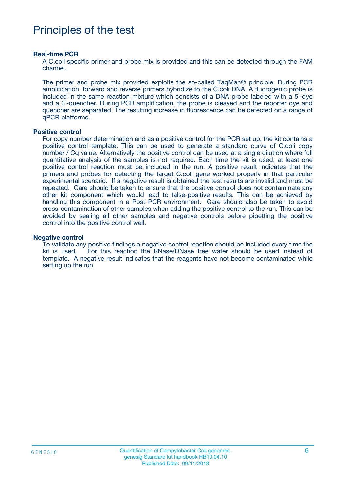## Principles of the test

#### **Real-time PCR**

A C.coli specific primer and probe mix is provided and this can be detected through the FAM channel.

The primer and probe mix provided exploits the so-called TaqMan® principle. During PCR amplification, forward and reverse primers hybridize to the C.coli DNA. A fluorogenic probe is included in the same reaction mixture which consists of a DNA probe labeled with a 5`-dye and a 3`-quencher. During PCR amplification, the probe is cleaved and the reporter dye and quencher are separated. The resulting increase in fluorescence can be detected on a range of qPCR platforms.

#### **Positive control**

For copy number determination and as a positive control for the PCR set up, the kit contains a positive control template. This can be used to generate a standard curve of C.coli copy number / Cq value. Alternatively the positive control can be used at a single dilution where full quantitative analysis of the samples is not required. Each time the kit is used, at least one positive control reaction must be included in the run. A positive result indicates that the primers and probes for detecting the target C.coli gene worked properly in that particular experimental scenario. If a negative result is obtained the test results are invalid and must be repeated. Care should be taken to ensure that the positive control does not contaminate any other kit component which would lead to false-positive results. This can be achieved by handling this component in a Post PCR environment. Care should also be taken to avoid cross-contamination of other samples when adding the positive control to the run. This can be avoided by sealing all other samples and negative controls before pipetting the positive control into the positive control well.

#### **Negative control**

To validate any positive findings a negative control reaction should be included every time the kit is used. For this reaction the RNase/DNase free water should be used instead of template. A negative result indicates that the reagents have not become contaminated while setting up the run.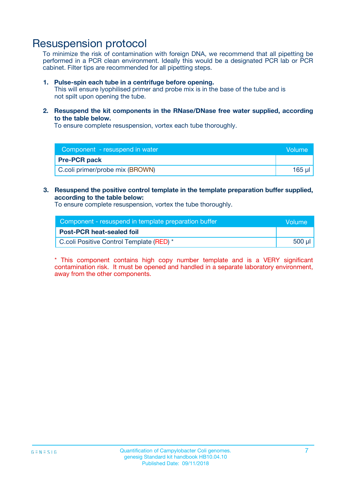### Resuspension protocol

To minimize the risk of contamination with foreign DNA, we recommend that all pipetting be performed in a PCR clean environment. Ideally this would be a designated PCR lab or PCR cabinet. Filter tips are recommended for all pipetting steps.

#### **1. Pulse-spin each tube in a centrifuge before opening.**

This will ensure lyophilised primer and probe mix is in the base of the tube and is not spilt upon opening the tube.

**2. Resuspend the kit components in the RNase/DNase free water supplied, according to the table below.**

To ensure complete resuspension, vortex each tube thoroughly.

| Component - resuspend in water  | Volume    |
|---------------------------------|-----------|
| <b>Pre-PCR pack</b>             |           |
| C.coli primer/probe mix (BROWN) | $165 \mu$ |

#### **3. Resuspend the positive control template in the template preparation buffer supplied, according to the table below:**

To ensure complete resuspension, vortex the tube thoroughly.

| Component - resuspend in template preparation buffer | lVolume' |
|------------------------------------------------------|----------|
| <b>Post-PCR heat-sealed foil</b>                     |          |
| C.coli Positive Control Template (RED) *             | 500 µl   |

\* This component contains high copy number template and is a VERY significant contamination risk. It must be opened and handled in a separate laboratory environment, away from the other components.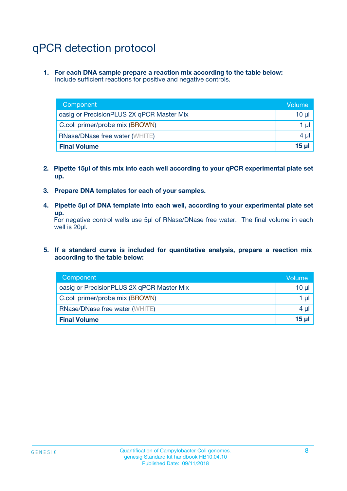# qPCR detection protocol

**1. For each DNA sample prepare a reaction mix according to the table below:** Include sufficient reactions for positive and negative controls.

| Component                                 | Volume   |
|-------------------------------------------|----------|
| oasig or PrecisionPLUS 2X qPCR Master Mix | 10 $\mu$ |
| C.coli primer/probe mix (BROWN)           | 1 $\mu$  |
| <b>RNase/DNase free water (WHITE)</b>     | $4 \mu$  |
| <b>Final Volume</b>                       | $15$ µ   |

- **2. Pipette 15µl of this mix into each well according to your qPCR experimental plate set up.**
- **3. Prepare DNA templates for each of your samples.**
- **4. Pipette 5µl of DNA template into each well, according to your experimental plate set up.**

For negative control wells use 5µl of RNase/DNase free water. The final volume in each well is 20µl.

**5. If a standard curve is included for quantitative analysis, prepare a reaction mix according to the table below:**

| Component                                 | Volume   |
|-------------------------------------------|----------|
| oasig or PrecisionPLUS 2X qPCR Master Mix | $10 \mu$ |
| C.coli primer/probe mix (BROWN)           | 1 µI     |
| <b>RNase/DNase free water (WHITE)</b>     | $4 \mu$  |
| <b>Final Volume</b>                       | $15$ µ   |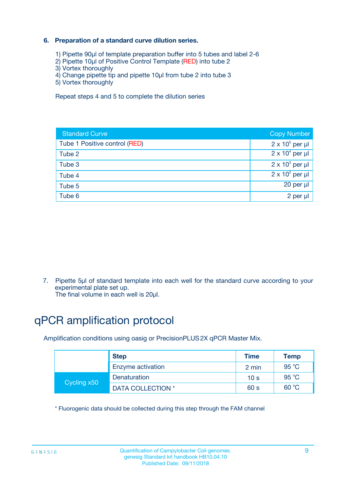### **6. Preparation of a standard curve dilution series.**

- 1) Pipette 90µl of template preparation buffer into 5 tubes and label 2-6
- 2) Pipette 10µl of Positive Control Template (RED) into tube 2
- 3) Vortex thoroughly
- 4) Change pipette tip and pipette 10µl from tube 2 into tube 3
- 5) Vortex thoroughly

Repeat steps 4 and 5 to complete the dilution series

| <b>Standard Curve</b>         | <b>Copy Number</b>     |
|-------------------------------|------------------------|
| Tube 1 Positive control (RED) | $2 \times 10^5$ per µl |
| Tube 2                        | $2 \times 10^4$ per µl |
| Tube 3                        | $2 \times 10^3$ per µl |
| Tube 4                        | $2 \times 10^2$ per µl |
| Tube 5                        | 20 per µl              |
| Tube 6                        | 2 per ul               |

7. Pipette 5µl of standard template into each well for the standard curve according to your experimental plate set up.

The final volume in each well is 20µl.

# qPCR amplification protocol

Amplification conditions using oasig or PrecisionPLUS2X qPCR Master Mix.

| <b>Step</b> |                   | <b>Time</b>     | Temp    |
|-------------|-------------------|-----------------|---------|
|             | Enzyme activation | 2 min           | 95 °C   |
| Cycling x50 | Denaturation      | 10 <sub>s</sub> | 95 $°C$ |
|             | DATA COLLECTION * | 60 s            | 60 °C   |

\* Fluorogenic data should be collected during this step through the FAM channel